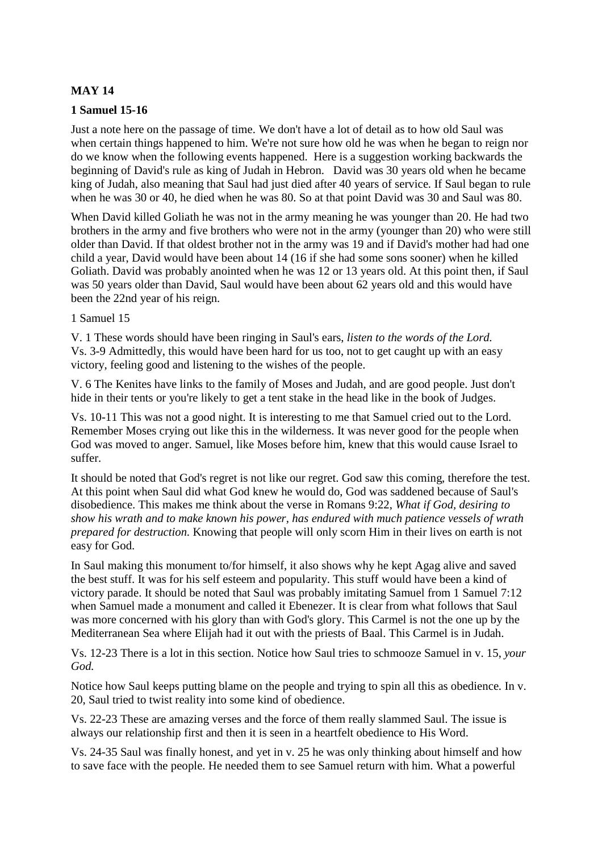# **MAY 14**

### **1 Samuel 15-16**

Just a note here on the passage of time. We don't have a lot of detail as to how old Saul was when certain things happened to him. We're not sure how old he was when he began to reign nor do we know when the following events happened. Here is a suggestion working backwards the beginning of David's rule as king of Judah in Hebron. David was 30 years old when he became king of Judah, also meaning that Saul had just died after 40 years of service. If Saul began to rule when he was 30 or 40, he died when he was 80. So at that point David was 30 and Saul was 80.

When David killed Goliath he was not in the army meaning he was younger than 20. He had two brothers in the army and five brothers who were not in the army (younger than 20) who were still older than David. If that oldest brother not in the army was 19 and if David's mother had had one child a year, David would have been about 14 (16 if she had some sons sooner) when he killed Goliath. David was probably anointed when he was 12 or 13 years old. At this point then, if Saul was 50 years older than David, Saul would have been about 62 years old and this would have been the 22nd year of his reign.

### 1 Samuel 15

V. 1 These words should have been ringing in Saul's ears, *listen to the words of the Lord.* Vs. 3-9 Admittedly, this would have been hard for us too, not to get caught up with an easy victory, feeling good and listening to the wishes of the people.

V. 6 The Kenites have links to the family of Moses and Judah, and are good people. Just don't hide in their tents or you're likely to get a tent stake in the head like in the book of Judges.

Vs. 10-11 This was not a good night. It is interesting to me that Samuel cried out to the Lord. Remember Moses crying out like this in the wilderness. It was never good for the people when God was moved to anger. Samuel, like Moses before him, knew that this would cause Israel to suffer.

It should be noted that God's regret is not like our regret. God saw this coming, therefore the test. At this point when Saul did what God knew he would do, God was saddened because of Saul's disobedience. This makes me think about the verse in Romans 9:22, *What if God, desiring to show his wrath and to make known his power, has endured with much patience vessels of wrath prepared for destruction.* Knowing that people will only scorn Him in their lives on earth is not easy for God.

In Saul making this monument to/for himself, it also shows why he kept Agag alive and saved the best stuff. It was for his self esteem and popularity. This stuff would have been a kind of victory parade. It should be noted that Saul was probably imitating Samuel from 1 Samuel 7:12 when Samuel made a monument and called it Ebenezer. It is clear from what follows that Saul was more concerned with his glory than with God's glory. This Carmel is not the one up by the Mediterranean Sea where Elijah had it out with the priests of Baal. This Carmel is in Judah.

Vs. 12-23 There is a lot in this section. Notice how Saul tries to schmooze Samuel in v. 15, *your God.*

Notice how Saul keeps putting blame on the people and trying to spin all this as obedience. In v. 20, Saul tried to twist reality into some kind of obedience.

Vs. 22-23 These are amazing verses and the force of them really slammed Saul. The issue is always our relationship first and then it is seen in a heartfelt obedience to His Word.

Vs. 24-35 Saul was finally honest, and yet in v. 25 he was only thinking about himself and how to save face with the people. He needed them to see Samuel return with him. What a powerful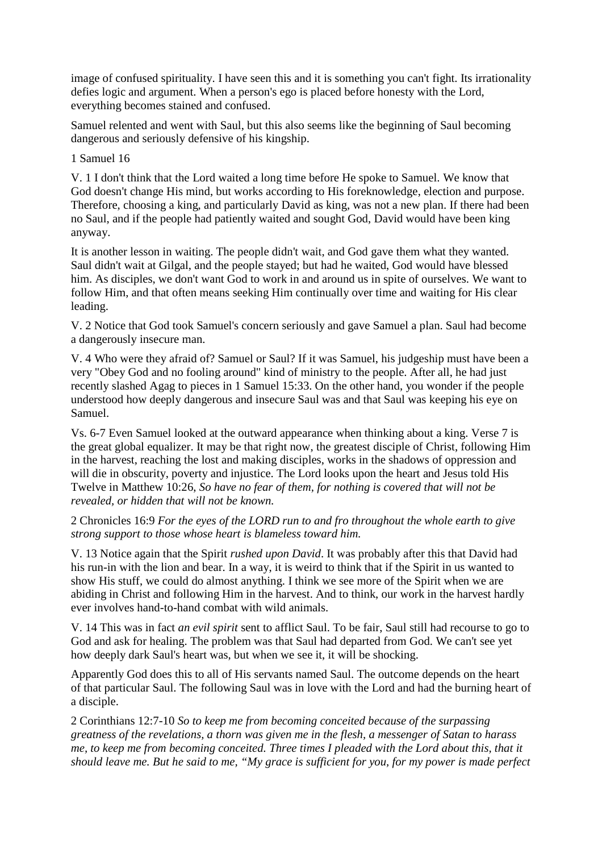image of confused spirituality. I have seen this and it is something you can't fight. Its irrationality defies logic and argument. When a person's ego is placed before honesty with the Lord, everything becomes stained and confused.

Samuel relented and went with Saul, but this also seems like the beginning of Saul becoming dangerous and seriously defensive of his kingship.

1 Samuel 16

V. 1 I don't think that the Lord waited a long time before He spoke to Samuel. We know that God doesn't change His mind, but works according to His foreknowledge, election and purpose. Therefore, choosing a king, and particularly David as king, was not a new plan. If there had been no Saul, and if the people had patiently waited and sought God, David would have been king anyway.

It is another lesson in waiting. The people didn't wait, and God gave them what they wanted. Saul didn't wait at Gilgal, and the people stayed; but had he waited, God would have blessed him. As disciples, we don't want God to work in and around us in spite of ourselves. We want to follow Him, and that often means seeking Him continually over time and waiting for His clear leading.

V. 2 Notice that God took Samuel's concern seriously and gave Samuel a plan. Saul had become a dangerously insecure man.

V. 4 Who were they afraid of? Samuel or Saul? If it was Samuel, his judgeship must have been a very "Obey God and no fooling around" kind of ministry to the people. After all, he had just recently slashed Agag to pieces in 1 Samuel 15:33. On the other hand, you wonder if the people understood how deeply dangerous and insecure Saul was and that Saul was keeping his eye on Samuel.

Vs. 6-7 Even Samuel looked at the outward appearance when thinking about a king. Verse 7 is the great global equalizer. It may be that right now, the greatest disciple of Christ, following Him in the harvest, reaching the lost and making disciples, works in the shadows of oppression and will die in obscurity, poverty and injustice. The Lord looks upon the heart and Jesus told His Twelve in Matthew 10:26, *So have no fear of them, for nothing is covered that will not be revealed, or hidden that will not be known.* 

2 Chronicles 16:9 *For the eyes of the LORD run to and fro throughout the whole earth to give strong support to those whose heart is blameless toward him.*

V. 13 Notice again that the Spirit *rushed upon David*. It was probably after this that David had his run-in with the lion and bear. In a way, it is weird to think that if the Spirit in us wanted to show His stuff, we could do almost anything. I think we see more of the Spirit when we are abiding in Christ and following Him in the harvest. And to think, our work in the harvest hardly ever involves hand-to-hand combat with wild animals.

V. 14 This was in fact *an evil spirit* sent to afflict Saul. To be fair, Saul still had recourse to go to God and ask for healing. The problem was that Saul had departed from God. We can't see yet how deeply dark Saul's heart was, but when we see it, it will be shocking.

Apparently God does this to all of His servants named Saul. The outcome depends on the heart of that particular Saul. The following Saul was in love with the Lord and had the burning heart of a disciple.

2 Corinthians 12:7-10 *So to keep me from becoming conceited because of the surpassing greatness of the revelations, a thorn was given me in the flesh, a messenger of Satan to harass me, to keep me from becoming conceited. Three times I pleaded with the Lord about this, that it should leave me. But he said to me, "My grace is sufficient for you, for my power is made perfect*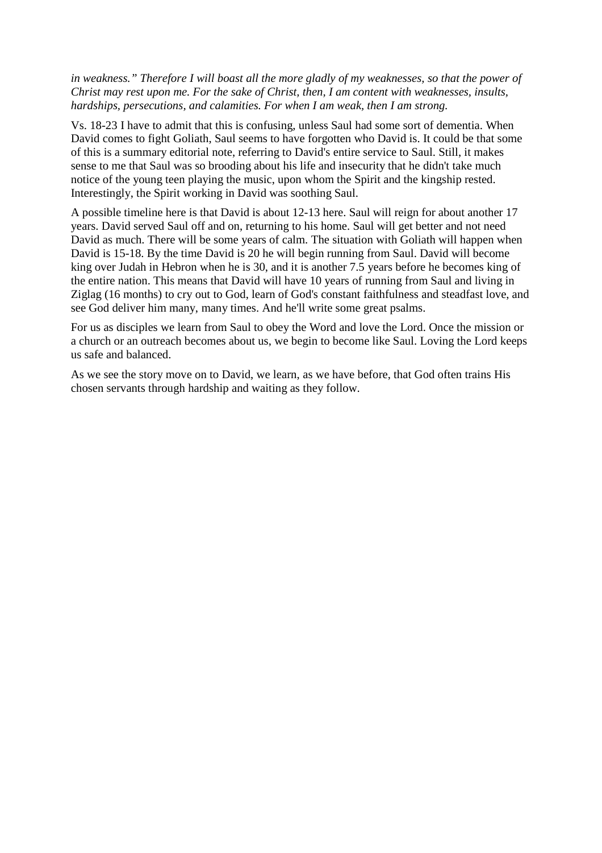*in weakness." Therefore I will boast all the more gladly of my weaknesses, so that the power of Christ may rest upon me. For the sake of Christ, then, I am content with weaknesses, insults, hardships, persecutions, and calamities. For when I am weak, then I am strong.*

Vs. 18-23 I have to admit that this is confusing, unless Saul had some sort of dementia. When David comes to fight Goliath, Saul seems to have forgotten who David is. It could be that some of this is a summary editorial note, referring to David's entire service to Saul. Still, it makes sense to me that Saul was so brooding about his life and insecurity that he didn't take much notice of the young teen playing the music, upon whom the Spirit and the kingship rested. Interestingly, the Spirit working in David was soothing Saul.

A possible timeline here is that David is about 12-13 here. Saul will reign for about another 17 years. David served Saul off and on, returning to his home. Saul will get better and not need David as much. There will be some years of calm. The situation with Goliath will happen when David is 15-18. By the time David is 20 he will begin running from Saul. David will become king over Judah in Hebron when he is 30, and it is another 7.5 years before he becomes king of the entire nation. This means that David will have 10 years of running from Saul and living in Ziglag (16 months) to cry out to God, learn of God's constant faithfulness and steadfast love, and see God deliver him many, many times. And he'll write some great psalms.

For us as disciples we learn from Saul to obey the Word and love the Lord. Once the mission or a church or an outreach becomes about us, we begin to become like Saul. Loving the Lord keeps us safe and balanced.

As we see the story move on to David, we learn, as we have before, that God often trains His chosen servants through hardship and waiting as they follow.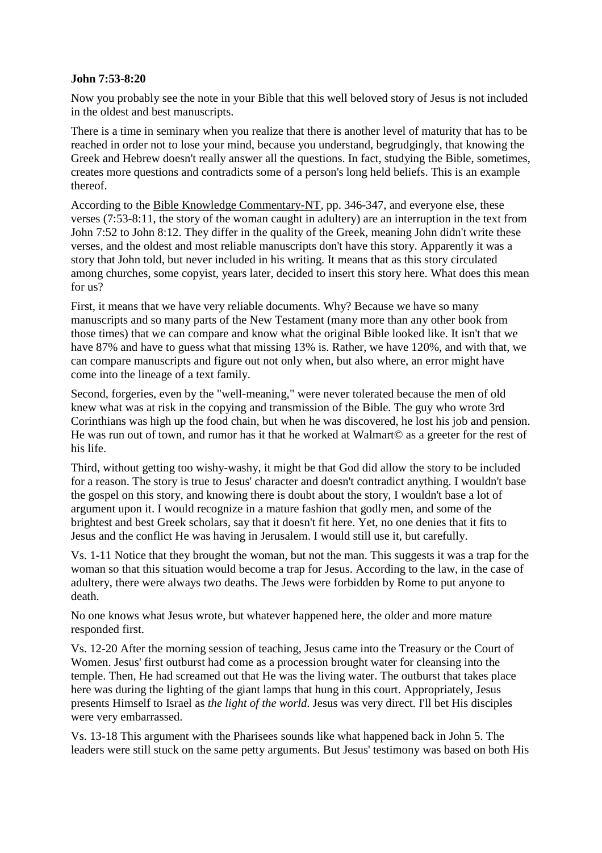### **John 7:53-8:20**

Now you probably see the note in your Bible that this well beloved story of Jesus is not included in the oldest and best manuscripts.

There is a time in seminary when you realize that there is another level of maturity that has to be reached in order not to lose your mind, because you understand, begrudgingly, that knowing the Greek and Hebrew doesn't really answer all the questions. In fact, studying the Bible, sometimes, creates more questions and contradicts some of a person's long held beliefs. This is an example thereof.

According to the Bible Knowledge Commentary-NT, pp. 346-347, and everyone else, these verses (7:53-8:11, the story of the woman caught in adultery) are an interruption in the text from John 7:52 to John 8:12. They differ in the quality of the Greek, meaning John didn't write these verses, and the oldest and most reliable manuscripts don't have this story. Apparently it was a story that John told, but never included in his writing. It means that as this story circulated among churches, some copyist, years later, decided to insert this story here. What does this mean for us?

First, it means that we have very reliable documents. Why? Because we have so many manuscripts and so many parts of the New Testament (many more than any other book from those times) that we can compare and know what the original Bible looked like. It isn't that we have 87% and have to guess what that missing 13% is. Rather, we have 120%, and with that, we can compare manuscripts and figure out not only when, but also where, an error might have come into the lineage of a text family.

Second, forgeries, even by the "well-meaning," were never tolerated because the men of old knew what was at risk in the copying and transmission of the Bible. The guy who wrote 3rd Corinthians was high up the food chain, but when he was discovered, he lost his job and pension. He was run out of town, and rumor has it that he worked at Walmart© as a greeter for the rest of his life.

Third, without getting too wishy-washy, it might be that God did allow the story to be included for a reason. The story is true to Jesus' character and doesn't contradict anything. I wouldn't base the gospel on this story, and knowing there is doubt about the story, I wouldn't base a lot of argument upon it. I would recognize in a mature fashion that godly men, and some of the brightest and best Greek scholars, say that it doesn't fit here. Yet, no one denies that it fits to Jesus and the conflict He was having in Jerusalem. I would still use it, but carefully.

Vs. 1-11 Notice that they brought the woman, but not the man. This suggests it was a trap for the woman so that this situation would become a trap for Jesus. According to the law, in the case of adultery, there were always two deaths. The Jews were forbidden by Rome to put anyone to death.

No one knows what Jesus wrote, but whatever happened here, the older and more mature responded first.

Vs. 12-20 After the morning session of teaching, Jesus came into the Treasury or the Court of Women. Jesus' first outburst had come as a procession brought water for cleansing into the temple. Then, He had screamed out that He was the living water. The outburst that takes place here was during the lighting of the giant lamps that hung in this court. Appropriately, Jesus presents Himself to Israel as *the light of the world*. Jesus was very direct. I'll bet His disciples were very embarrassed.

Vs. 13-18 This argument with the Pharisees sounds like what happened back in John 5. The leaders were still stuck on the same petty arguments. But Jesus' testimony was based on both His